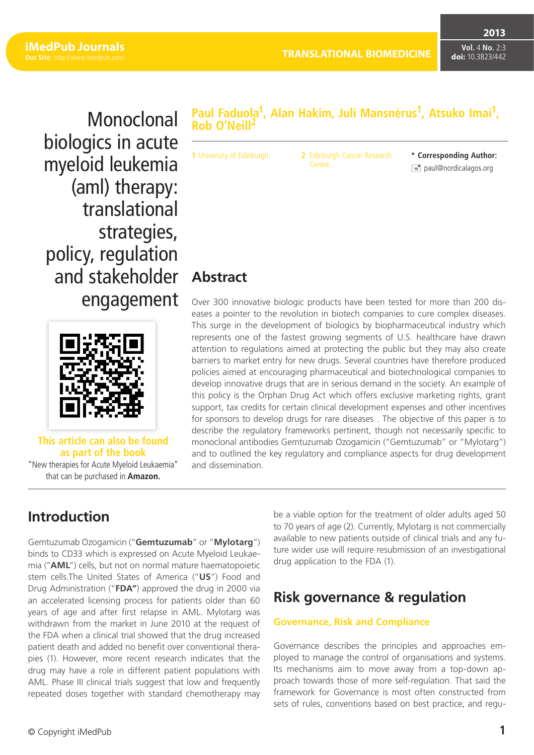**2013**

**Vol.** 4 **No.** 2:3 **doi:** 10.3823/442

Monoclonal biologics in acute myeloid leukemia (aml) therapy: translational strategies, policy, regulation and stakeholder engagement



**This article can also be found as part of the book** "New therapies for Acute Myeloid Leukaemia" that can be purchased in **Amazon.**

## **Paul Faduola1, [Alan Hakim,](https://www.wiki.ed.ac.uk/display/~s1163012) [Juli Mansnérus1](https://www.wiki.ed.ac.uk/display/~s1149295), [Atsuko Imai1](https://www.wiki.ed.ac.uk/display/~s1163250), Rob O'Neill2**

**1** University of Edinburgh. **2** Edinburgh Cancer Research Centre.

**\* Corresponding Author:**  $\equiv$  paul@nordicalagos.org

# **Abstract**

Over 300 innovative biologic products have been tested for more than 200 diseases a pointer to the revolution in biotech companies to cure complex diseases. This surge in the development of biologics by biopharmaceutical industry which represents one of the fastest growing segments of U.S. healthcare have drawn attention to regulations aimed at protecting the public but they may also create barriers to market entry for new drugs. Several countries have therefore produced policies aimed at encouraging pharmaceutical and biotechnological companies to develop innovative drugs that are in serious demand in the society. An example of this policy is the Orphan Drug Act which offers exclusive marketing rights, grant support, tax credits for certain clinical development expenses and other incentives for sponsors to develop drugs for rare diseases . The objective of this paper is to describe the regulatory frameworks pertinent, though not necessarily specific to monoclonal antibodies Gemtuzumab Ozogamicin ("Gemtuzumab" or "Mylotarg") and to outlined the key regulatory and compliance aspects for drug development and dissemination.

# **Introduction**

Gemtuzumab Ozogamicin ("**Gemtuzumab**" or "**Mylotarg**") binds to CD33 which is expressed on Acute Myeloid Leukaemia ("**AML**") cells, but not on normal mature haematopoietic stem cells.The United States of America ("**US**") Food and Drug Administration ("**FDA"**) approved the drug in 2000 via an accelerated licensing process for patients older than 60 years of age and after first relapse in AML. Mylotarg was withdrawn from the market in June 2010 at the request of the FDA when a clinical trial showed that the drug increased patient death and added no benefit over conventional therapies (1). However, more recent research indicates that the drug may have a role in different patient populations with AML. Phase III clinical trials suggest that low and frequently repeated doses together with standard chemotherapy may be a viable option for the treatment of older adults aged 50 to 70 years of age (2). Currently, Mylotarg is not commercially available to new patients outside of clinical trials and any future wider use will require resubmission of an investigational drug application to the FDA (1).

# **Risk governance & regulation**

## **Governance, Risk and Compliance**

Governance describes the principles and approaches employed to manage the control of organisations and systems. Its mechanisms aim to move away from a top-down approach towards those of more self-regulation. That said the framework for Governance is most often constructed from sets of rules, conventions based on best practice, and regu-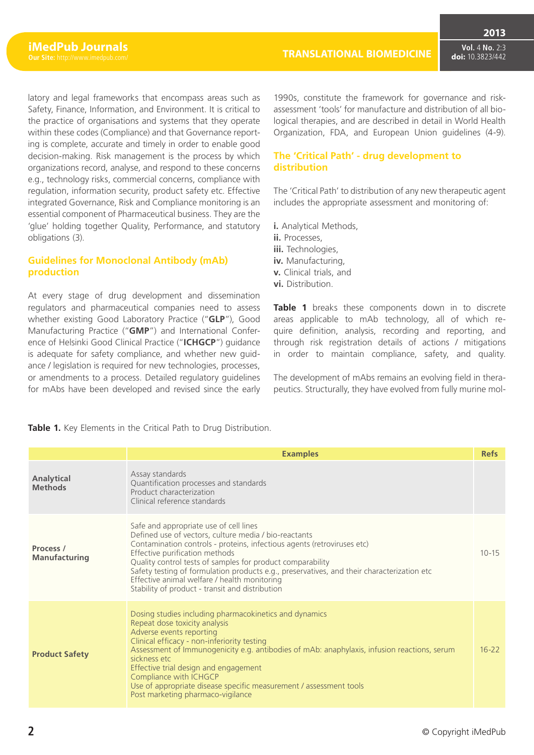latory and legal frameworks that encompass areas such as Safety, Finance, Information, and Environment. It is critical to the practice of organisations and systems that they operate within these codes (Compliance) and that Governance reporting is complete, accurate and timely in order to enable good decision-making. Risk management is the process by which organizations record, analyse, and respond to these concerns e.g., technology risks, commercial concerns, compliance with regulation, information security, product safety etc. Effective integrated Governance, Risk and Compliance monitoring is an essential component of Pharmaceutical business. They are the 'glue' holding together Quality, Performance, and statutory obligations (3).

## **Guidelines for Monoclonal Antibody (mAb) production**

At every stage of drug development and dissemination regulators and pharmaceutical companies need to assess whether existing Good Laboratory Practice ("**GLP**"), Good Manufacturing Practice ("**GMP**") and International Conference of Helsinki Good Clinical Practice ("**ICHGCP**") guidance is adequate for safety compliance, and whether new guidance / legislation is required for new technologies, processes, or amendments to a process. Detailed regulatory guidelines for mAbs have been developed and revised since the early 1990s, constitute the framework for governance and riskassessment 'tools' for manufacture and distribution of all biological therapies, and are described in detail in World Health Organization, FDA, and European Union guidelines (4-9).

#### **The 'Critical Path' - drug development to distribution**

The 'Critical Path' to distribution of any new therapeutic agent includes the appropriate assessment and monitoring of:

- **i.** Analytical Methods,
- **ii.** Processes,
- **iii.** Technologies,
- **iv.** Manufacturing,
- **v.** Clinical trials, and
- **vi.** Distribution.

**Table 1** breaks these components down in to discrete areas applicable to mAb technology, all of which require definition, analysis, recording and reporting, and through risk registration details of actions / mitigations in order to maintain compliance, safety, and quality.

The development of mAbs remains an evolving field in therapeutics. Structurally, they have evolved from fully murine mol-

|                                     | <b>Examples</b>                                                                                                                                                                                                                                                                                                                                                                                                                                                             | <b>Refs</b> |
|-------------------------------------|-----------------------------------------------------------------------------------------------------------------------------------------------------------------------------------------------------------------------------------------------------------------------------------------------------------------------------------------------------------------------------------------------------------------------------------------------------------------------------|-------------|
| <b>Analytical</b><br><b>Methods</b> | Assay standards<br>Quantification processes and standards<br>Product characterization<br>Clinical reference standards                                                                                                                                                                                                                                                                                                                                                       |             |
| Process /<br><b>Manufacturing</b>   | Safe and appropriate use of cell lines<br>Defined use of vectors, culture media / bio-reactants<br>Contamination controls - proteins, infectious agents (retroviruses etc)<br>Effective purification methods<br>Quality control tests of samples for product comparability<br>Safety testing of formulation products e.g., preservatives, and their characterization etc<br>Effective animal welfare / health monitoring<br>Stability of product - transit and distribution | $10 - 15$   |
| <b>Product Safety</b>               | Dosing studies including pharmacokinetics and dynamics<br>Repeat dose toxicity analysis<br>Adverse events reporting<br>Clinical efficacy - non-inferiority testing<br>Assessment of Immunogenicity e.g. antibodies of mAb: anaphylaxis, infusion reactions, serum<br>sickness etc<br>Effective trial design and engagement<br>Compliance with ICHGCP<br>Use of appropriate disease specific measurement / assessment tools<br>Post marketing pharmaco-vigilance             | $16 - 22$   |

**Table 1.** Key Elements in the Critical Path to Drug Distribution.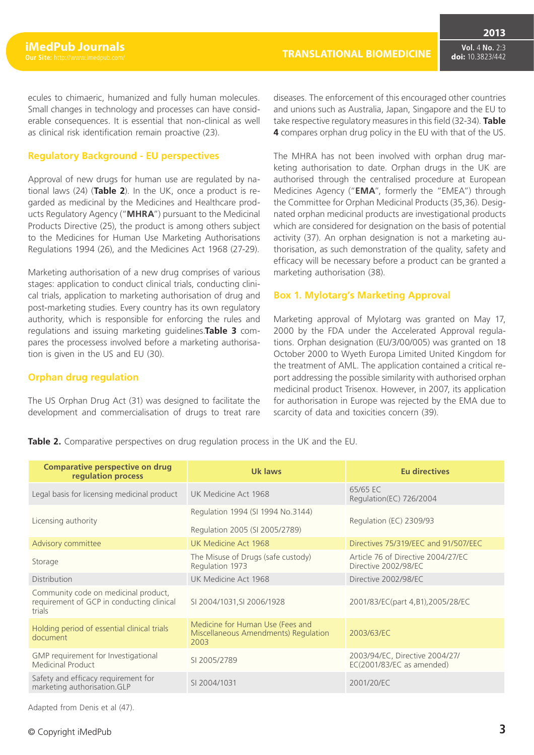**2013**

ecules to chimaeric, humanized and fully human molecules. Small changes in technology and processes can have considerable consequences. It is essential that non-clinical as well as clinical risk identification remain proactive (23).

#### **Regulatory Background - EU perspectives**

Approval of new drugs for human use are regulated by national laws (24) (**Table 2**). In the UK, once a product is regarded as medicinal by the Medicines and Healthcare products Regulatory Agency ("**MHRA**") pursuant to the Medicinal Products Directive (25), the product is among others subject to the Medicines for Human Use Marketing Authorisations Regulations 1994 (26), and the Medicines Act 1968 (27-29).

Marketing authorisation of a new drug comprises of various stages: application to conduct clinical trials, conducting clinical trials, application to marketing authorisation of drug and post-marketing studies. Every country has its own regulatory authority, which is responsible for enforcing the rules and regulations and issuing marketing guidelines.**Table 3** compares the processess involved before a marketing authorisation is given in the US and EU (30).

#### **Orphan drug regulation**

The US Orphan Drug Act (31) was designed to facilitate the development and commercialisation of drugs to treat rare diseases. The enforcement of this encouraged other countries and unions such as Australia, Japan, Singapore and the EU to take respective regulatory measures in this field (32-34). **Table 4** compares orphan drug policy in the EU with that of the US.

The MHRA has not been involved with orphan drug marketing authorisation to date. Orphan drugs in the UK are authorised through the centralised procedure at European Medicines Agency ("**EMA**", formerly the "EMEA") through the Committee for Orphan Medicinal Products (35,36). Designated orphan medicinal products are investigational products which are considered for designation on the basis of potential activity (37). An orphan designation is not a marketing authorisation, as such demonstration of the quality, safety and efficacy will be necessary before a product can be granted a marketing authorisation (38).

#### **Box 1. Mylotarg's Marketing Approval**

Marketing approval of Mylotarg was granted on May 17, 2000 by the FDA under the Accelerated Approval regulations. Orphan designation (EU/3/00/005) was granted on 18 October 2000 to Wyeth Europa Limited United Kingdom for the treatment of AML. The application contained a critical report addressing the possible similarity with authorised orphan medicinal product Trisenox. However, in 2007, its application for authorisation in Europe was rejected by the EMA due to scarcity of data and toxicities concern (39).

**Table 2.** Comparative perspectives on drug regulation process in the UK and the EU.

| <b>Comparative perspective on drug</b><br>regulation process                                | Uk laws                                                                          | Eu directives                                               |  |
|---------------------------------------------------------------------------------------------|----------------------------------------------------------------------------------|-------------------------------------------------------------|--|
| Legal basis for licensing medicinal product                                                 | UK Medicine Act 1968                                                             | 65/65 EC<br>Regulation(EC) 726/2004                         |  |
| Licensing authority                                                                         | Regulation 1994 (SI 1994 No.3144)<br>Regulation 2005 (SI 2005/2789)              | Regulation (EC) 2309/93                                     |  |
| Advisory committee                                                                          | UK Medicine Act 1968                                                             | Directives 75/319/EEC and 91/507/EEC                        |  |
| Storage                                                                                     | The Misuse of Drugs (safe custody)<br>Regulation 1973                            | Article 76 of Directive 2004/27/EC<br>Directive 2002/98/EC  |  |
| Distribution                                                                                | UK Medicine Act 1968                                                             | Directive 2002/98/EC                                        |  |
| Community code on medicinal product,<br>requirement of GCP in conducting clinical<br>trials | SI 2004/1031, SI 2006/1928                                                       | 2001/83/EC(part 4,B1),2005/28/EC                            |  |
| Holding period of essential clinical trials<br>document                                     | Medicine for Human Use (Fees and<br>Miscellaneous Amendments) Regulation<br>2003 | 2003/63/EC                                                  |  |
| GMP requirement for Investigational<br>Medicinal Product                                    | SI 2005/2789                                                                     | 2003/94/EC, Directive 2004/27/<br>EC(2001/83/EC as amended) |  |
| Safety and efficacy requirement for<br>marketing authorisation.GLP                          | SI 2004/1031                                                                     | 2001/20/FC                                                  |  |

Adapted from Denis et al (47).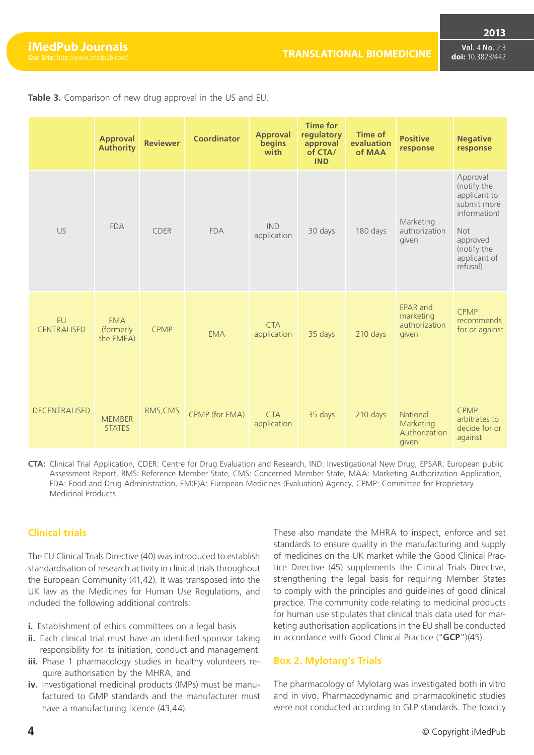**2013**

**Vol.** 4 **No.** 2:3 **doi:** 10.3823/442

|                          | <b>Approval</b><br><b>Authority</b>  | <b>Reviewer</b> | <b>Coordinator</b> | <b>Approval</b><br>begins<br>with | <b>Time for</b><br>regulatory<br>approval<br>of CTA/<br><b>IND</b> | <b>Time of</b><br>evaluation<br>of MAA | <b>Positive</b><br>response                            | <b>Negative</b><br>response                                                                                                                 |
|--------------------------|--------------------------------------|-----------------|--------------------|-----------------------------------|--------------------------------------------------------------------|----------------------------------------|--------------------------------------------------------|---------------------------------------------------------------------------------------------------------------------------------------------|
| US                       | <b>FDA</b>                           | <b>CDER</b>     | <b>FDA</b>         | <b>IND</b><br>application         | 30 days                                                            | 180 days                               | Marketing<br>authorization<br>given                    | Approval<br>(notify the<br>applicant to<br>submit more<br>information)<br><b>Not</b><br>approved<br>(notify the<br>applicant of<br>refusal) |
| EU<br><b>CENTRALISED</b> | <b>EMA</b><br>(formerly<br>the EMEA) | <b>CPMP</b>     | <b>EMA</b>         | <b>CTA</b><br>application         | 35 days                                                            | 210 days                               | <b>EPAR and</b><br>marketing<br>authorization<br>given | <b>CPMP</b><br><b>recommends</b><br>for or against                                                                                          |
| <b>DECENTRALISED</b>     | <b>MEMBER</b><br><b>STATES</b>       | RMS, CMS        | CPMP (for EMA)     | <b>CTA</b><br>application         | 35 days                                                            | 210 days                               | National<br>Marketing<br>Authorization<br>given        | <b>CPMP</b><br>arbitrates to<br>decide for or<br>against                                                                                    |

**Table 3.** Comparison of new drug approval in the US and EU.

**CTA:** Clinical Trial Application, CDER: Centre for Drug Evaluation and Research, IND: Investigational New Drug, EPSAR: European public Assessment Report, RMS: Reference Member State, CMS: Concerned Member State, MAA: Marketing Authorization Application, FDA: Food and Drug Administration, EM(E)A: European Medicines (Evaluation) Agency, CPMP: Committee for Proprietary Medicinal Products.

## **Clinical trials**

The EU Clinical Trials Directive (40) was introduced to establish standardisation of research activity in clinical trials throughout the European Community (41,42). It was transposed into the UK law as the Medicines for Human Use Regulations, and included the following additional controls:

- **i.** Establishment of ethics committees on a legal basis
- **ii.** Each clinical trial must have an identified sponsor taking responsibility for its initiation, conduct and management
- **iii.** Phase 1 pharmacology studies in healthy volunteers require authorisation by the MHRA, and
- **iv.** Investigational medicinal products (IMPs) must be manufactured to GMP standards and the manufacturer must have a manufacturing licence (43,44).

These also mandate the MHRA to inspect, enforce and set standards to ensure quality in the manufacturing and supply of medicines on the UK market while the Good Clinical Practice Directive (45) supplements the Clinical Trials Directive, strengthening the legal basis for requiring Member States to comply with the principles and guidelines of good clinical practice. The community code relating to medicinal products for human use stipulates that clinical trials data used for marketing authorisation applications in the EU shall be conducted in accordance with Good Clinical Practice ("**GCP**")(45).

#### **Box 2. Mylotarg's Trials**

The pharmacology of Mylotarg was investigated both in vitro and in vivo. Pharmacodynamic and pharmacokinetic studies were not conducted according to GLP standards. The toxicity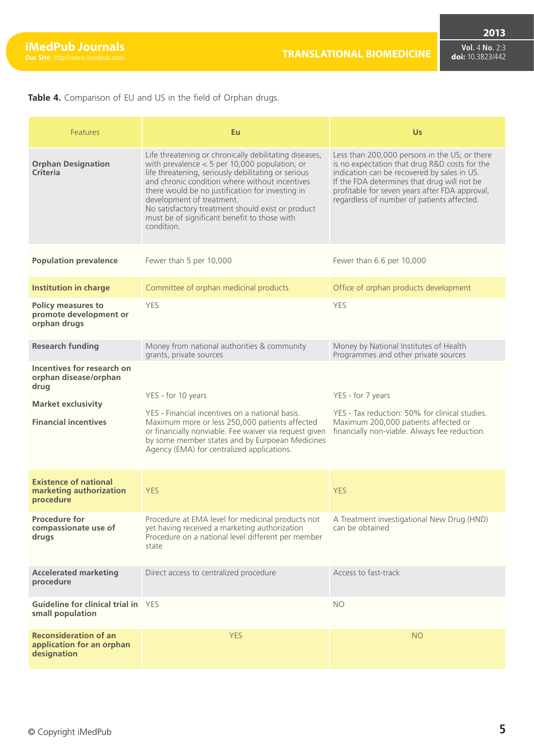**2013**

**Table 4.** Comparison of EU and US in the field of Orphan drugs.

| Features                                                                                                                | Eu                                                                                                                                                                                                                                                                                                                                                                                                                    | <b>Us</b>                                                                                                                                                                                                                                                                                    |
|-------------------------------------------------------------------------------------------------------------------------|-----------------------------------------------------------------------------------------------------------------------------------------------------------------------------------------------------------------------------------------------------------------------------------------------------------------------------------------------------------------------------------------------------------------------|----------------------------------------------------------------------------------------------------------------------------------------------------------------------------------------------------------------------------------------------------------------------------------------------|
| <b>Orphan Designation</b><br>Criteria                                                                                   | Life threatening or chronically debilitating diseases,<br>with prevalence $<$ 5 per 10,000 population; or<br>life threatening, seriously debilitating or serious<br>and chronic condition where without incentives<br>there would be no justification for investing in<br>development of treatment.<br>No satisfactory treatment should exist or product<br>must be of significant benefit to those with<br>condition | Less than 200,000 persons in the US; or there<br>is no expectation that drug R&D costs for the<br>indication can be recovered by sales in US.<br>If the FDA determines that drug will not be<br>profitable for seven years after FDA approval,<br>regardless of number of patients affected. |
| <b>Population prevalence</b>                                                                                            | Fewer than 5 per 10,000                                                                                                                                                                                                                                                                                                                                                                                               | Fewer than 6.6 per 10,000                                                                                                                                                                                                                                                                    |
| <b>Institution in charge</b>                                                                                            | Committee of orphan medicinal products                                                                                                                                                                                                                                                                                                                                                                                | Office of orphan products development                                                                                                                                                                                                                                                        |
| <b>Policy measures to</b><br>promote development or<br>orphan drugs                                                     | <b>YES</b>                                                                                                                                                                                                                                                                                                                                                                                                            | <b>YES</b>                                                                                                                                                                                                                                                                                   |
| <b>Research funding</b>                                                                                                 | Money from national authorities & community<br>grants, private sources                                                                                                                                                                                                                                                                                                                                                | Money by National Institutes of Health<br>Programmes and other private sources                                                                                                                                                                                                               |
| Incentives for research on<br>orphan disease/orphan<br>drug<br><b>Market exclusivity</b><br><b>Financial incentives</b> | YES - for 10 years<br>YES - Financial incentives on a national basis.<br>Maximum more or less 250,000 patients affected<br>or financially nonviable. Fee waiver via request given<br>by some member states and by Eurpoean Medicines<br>Agency (EMA) for centralized applications.                                                                                                                                    | YES - for 7 years<br>YES - Tax reduction: 50% for clinical studies.<br>Maximum 200,000 patients affected or<br>financially non-viable. Always fee reduction.                                                                                                                                 |
| <b>Existence of national</b><br>marketing authorization<br>procedure                                                    | <b>YES</b>                                                                                                                                                                                                                                                                                                                                                                                                            | <b>YES</b>                                                                                                                                                                                                                                                                                   |
| <b>Procedure for</b><br>compassionate use of<br>drugs                                                                   | Procedure at EMA level for medicinal products not<br>yet having received a marketing authorization<br>Procedure on a national level different per member<br>state                                                                                                                                                                                                                                                     | A Treatment investigational New Drug (HND)<br>can be obtained                                                                                                                                                                                                                                |
| <b>Accelerated marketing</b><br>procedure                                                                               | Direct access to centralized procedure                                                                                                                                                                                                                                                                                                                                                                                | Access to fast-track                                                                                                                                                                                                                                                                         |
| Guideline for clinical trial in YES<br>small population                                                                 |                                                                                                                                                                                                                                                                                                                                                                                                                       | <b>NO</b>                                                                                                                                                                                                                                                                                    |
| <b>Reconsideration of an</b><br>application for an orphan<br>designation                                                | <b>YES</b>                                                                                                                                                                                                                                                                                                                                                                                                            | <b>NO</b>                                                                                                                                                                                                                                                                                    |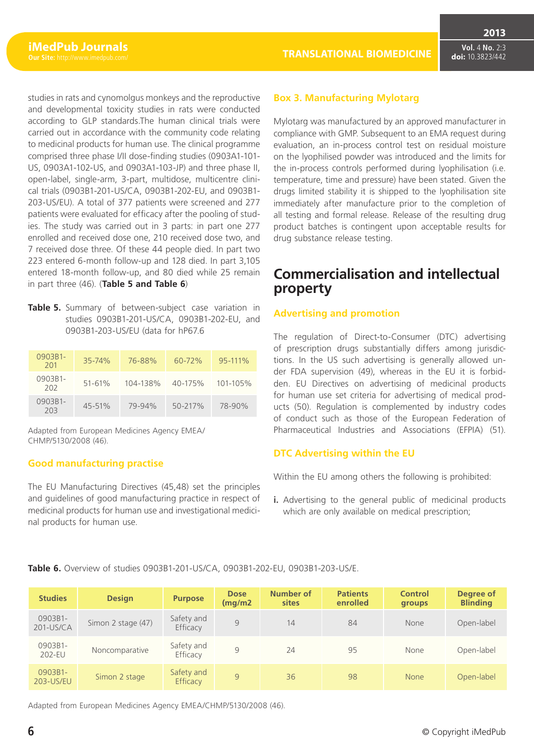studies in rats and cynomolgus monkeys and the reproductive and developmental toxicity studies in rats were conducted according to GLP standards.The human clinical trials were carried out in accordance with the community code relating to medicinal products for human use. The clinical programme comprised three phase I/II dose-finding studies (0903A1-101- US, 0903A1-102-US, and 0903A1-103-JP) and three phase II, open-label, single-arm, 3-part, multidose, multicentre clinical trials (0903B1-201-US/CA, 0903B1-202-EU, and 0903B1- 203-US/EU). A total of 377 patients were screened and 277 patients were evaluated for efficacy after the pooling of studies. The study was carried out in 3 parts: in part one 277 enrolled and received dose one, 210 received dose two, and 7 received dose three. Of these 44 people died. In part two 223 entered 6-month follow-up and 128 died. In part 3,105 entered 18-month follow-up, and 80 died while 25 remain in part three (46). (**Table 5 and Table 6**)

**Table 5.** Summary of between-subject case variation in studies 0903B1-201-US/CA, 0903B1-202-EU, and 0903B1-203-US/EU (data for hP67.6

| 0903B1-<br>201 | $35 - 74%$ | 76-88%   | $60 - 72\%$ | $95 - 111\%$ |
|----------------|------------|----------|-------------|--------------|
| 0903B1-<br>202 | $51 - 61%$ | 104-138% | 40-175%     | 101-105%     |
| 0903B1-<br>203 | $45 - 51%$ | 79-94%   | 50-217%     | 78-90%       |

Adapted from European Medicines Agency EMEA/ CHMP/5130/2008 (46).

## **Good manufacturing practise**

The EU Manufacturing Directives (45,48) set the principles and guidelines of good manufacturing practice in respect of medicinal products for human use and investigational medicinal products for human use.

**Table 6.** Overview of studies 0903B1-201-US/CA, 0903B1-202-EU, 0903B1-203-US/E.

**Vol.** 4 **No.** 2:3 **doi:** 10.3823/442

**2013**

## **Box 3. Manufacturing Mylotarg**

Mylotarg was manufactured by an approved manufacturer in compliance with GMP. Subsequent to an EMA request during evaluation, an in-process control test on residual moisture on the lyophilised powder was introduced and the limits for the in-process controls performed during lyophilisation (i.e. temperature, time and pressure) have been stated. Given the drugs limited stability it is shipped to the lyophilisation site immediately after manufacture prior to the completion of all testing and formal release. Release of the resulting drug product batches is contingent upon acceptable results for drug substance release testing.

# **Commercialisation and intellectual property**

## **Advertising and promotion**

The regulation of Direct-to-Consumer (DTC) advertising of prescription drugs substantially differs among jurisdictions. In the US such advertising is generally allowed under FDA supervision (49), whereas in the EU it is forbidden. EU Directives on advertising of medicinal products for human use set criteria for advertising of medical products (50). Regulation is complemented by industry codes of conduct such as those of the European Federation of Pharmaceutical Industries and Associations (EFPIA) (51).

## **DTC Advertising within the EU**

Within the EU among others the following is prohibited:

**i.** Advertising to the general public of medicinal products which are only available on medical prescription;

| <b>Studies</b>          | <b>Design</b>      | <b>Purpose</b>                | <b>Dose</b><br>(mq/m2) | Number of<br>sites | <b>Patients</b><br>enrolled | <b>Control</b><br>groups | Degree of<br><b>Blinding</b> |
|-------------------------|--------------------|-------------------------------|------------------------|--------------------|-----------------------------|--------------------------|------------------------------|
| 0903B1-<br>$201$ -US/CA | Simon 2 stage (47) | Safety and<br>Efficacy        | 9                      | 14                 | 84                          | None                     | Open-label                   |
| 0903B1-<br>202-EU       | Noncomparative     | Safety and<br>Efficacy        | 9                      | 24                 | 95                          | None                     | Open-label                   |
| 0903B1-<br>203-US/EU    | Simon 2 stage      | Safety and<br><b>Efficacy</b> | 9                      | 36                 | 98                          | <b>None</b>              | Open-label                   |

Adapted from European Medicines Agency EMEA/CHMP/5130/2008 (46).

# **6** © Copyright iMedPub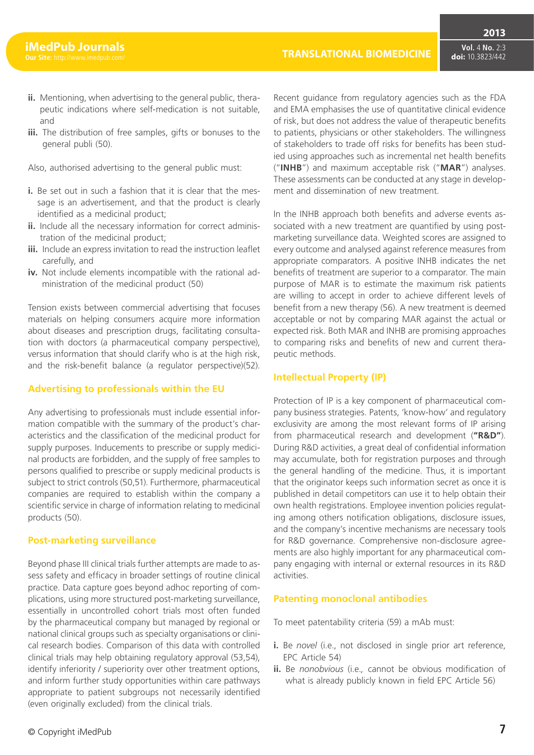- **ii.** Mentioning, when advertising to the general public, therapeutic indications where self-medication is not suitable, and
- **iii.** The distribution of free samples, gifts or bonuses to the general publi (50).

Also, authorised advertising to the general public must:

- **i.** Be set out in such a fashion that it is clear that the message is an advertisement, and that the product is clearly identified as a medicinal product;
- **ii.** Include all the necessary information for correct administration of the medicinal product;
- **iii.** Include an express invitation to read the instruction leaflet carefully, and
- **iv.** Not include elements incompatible with the rational administration of the medicinal product (50)

Tension exists between commercial advertising that focuses materials on helping consumers acquire more information about diseases and prescription drugs, facilitating consultation with doctors (a pharmaceutical company perspective), versus information that should clarify who is at the high risk, and the risk-benefit balance (a regulator perspective)(52).

#### **Advertising to professionals within the EU**

Any advertising to professionals must include essential information compatible with the summary of the product's characteristics and the classification of the medicinal product for supply purposes. Inducements to prescribe or supply medicinal products are forbidden, and the supply of free samples to persons qualified to prescribe or supply medicinal products is subject to strict controls (50,51). Furthermore, pharmaceutical companies are required to establish within the company a scientific service in charge of information relating to medicinal products (50).

#### **Post-marketing surveillance**

Beyond phase III clinical trials further attempts are made to assess safety and efficacy in broader settings of routine clinical practice. Data capture goes beyond adhoc reporting of complications, using more structured post-marketing surveillance, essentially in uncontrolled cohort trials most often funded by the pharmaceutical company but managed by regional or national clinical groups such as specialty organisations or clinical research bodies. Comparison of this data with controlled clinical trials may help obtaining regulatory approval (53,54), identify inferiority / superiority over other treatment options, and inform further study opportunities within care pathways appropriate to patient subgroups not necessarily identified (even originally excluded) from the clinical trials.

Recent guidance from regulatory agencies such as the FDA and EMA emphasises the use of quantitative clinical evidence of risk, but does not address the value of therapeutic benefits to patients, physicians or other stakeholders. The willingness of stakeholders to trade off risks for benefits has been studied using approaches such as incremental net health benefits ("**INHB**") and maximum acceptable risk ("**MAR**") analyses. These assessments can be conducted at any stage in development and dissemination of new treatment.

In the INHB approach both benefits and adverse events associated with a new treatment are quantified by using postmarketing surveillance data. Weighted scores are assigned to every outcome and analysed against reference measures from appropriate comparators. A positive INHB indicates the net benefits of treatment are superior to a comparator. The main purpose of MAR is to estimate the maximum risk patients are willing to accept in order to achieve different levels of benefit from a new therapy (56). A new treatment is deemed acceptable or not by comparing MAR against the actual or expected risk. Both MAR and INHB are promising approaches to comparing risks and benefits of new and current therapeutic methods.

#### **Intellectual Property (IP)**

Protection of IP is a key component of pharmaceutical company business strategies. Patents, 'know-how' and regulatory exclusivity are among the most relevant forms of IP arising from pharmaceutical research and development (**"R&D"**). During R&D activities, a great deal of confidential information may accumulate, both for registration purposes and through the general handling of the medicine. Thus, it is important that the originator keeps such information secret as once it is published in detail competitors can use it to help obtain their own health registrations. Employee invention policies regulating among others notification obligations, disclosure issues, and the company's incentive mechanisms are necessary tools for R&D governance. Comprehensive non-disclosure agreements are also highly important for any pharmaceutical company engaging with internal or external resources in its R&D activities.

#### **Patenting monoclonal antibodies**

To meet patentability criteria (59) a mAb must:

- **i.** Be *novel* (i.e., not disclosed in single prior art reference, EPC Article 54)
- **ii.** Be *nonobvious* (i.e.*,* cannot be obvious modification of what is already publicly known in field EPC Article 56)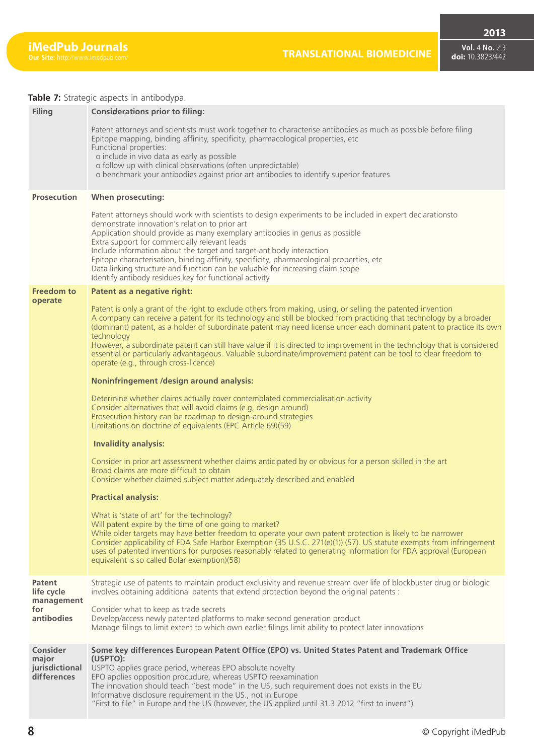#### **Table 7:** Strategic aspects in antibodypa.

| <b>Filing</b>                                      | <b>Considerations prior to filing:</b><br>Patent attorneys and scientists must work together to characterise antibodies as much as possible before filing<br>Epitope mapping, binding affinity, specificity, pharmacological properties, etc<br>Functional properties:<br>o include in vivo data as early as possible<br>o follow up with clinical observations (often unpredictable)<br>o benchmark your antibodies against prior art antibodies to identify superior features                                                                                                                                                                                  |
|----------------------------------------------------|------------------------------------------------------------------------------------------------------------------------------------------------------------------------------------------------------------------------------------------------------------------------------------------------------------------------------------------------------------------------------------------------------------------------------------------------------------------------------------------------------------------------------------------------------------------------------------------------------------------------------------------------------------------|
| <b>Prosecution</b>                                 | When prosecuting:                                                                                                                                                                                                                                                                                                                                                                                                                                                                                                                                                                                                                                                |
|                                                    | Patent attorneys should work with scientists to design experiments to be included in expert declarationsto<br>demonstrate innovation's relation to prior art<br>Application should provide as many exemplary antibodies in genus as possible<br>Extra support for commercially relevant leads<br>Include information about the target and target-antibody interaction<br>Epitope characterisation, binding affinity, specificity, pharmacological properties, etc<br>Data linking structure and function can be valuable for increasing claim scope<br>Identify antibody residues key for functional activity                                                    |
| <b>Freedom to</b>                                  | Patent as a negative right:                                                                                                                                                                                                                                                                                                                                                                                                                                                                                                                                                                                                                                      |
| operate                                            | Patent is only a grant of the right to exclude others from making, using, or selling the patented invention<br>A company can receive a patent for its technology and still be blocked from practicing that technology by a broader<br>(dominant) patent, as a holder of subordinate patent may need license under each dominant patent to practice its own<br>technology<br>However, a subordinate patent can still have value if it is directed to improvement in the technology that is considered<br>essential or particularly advantageous. Valuable subordinate/improvement patent can be tool to clear freedom to<br>operate (e.g., through cross-licence) |
|                                                    | <b>Noninfringement /design around analysis:</b>                                                                                                                                                                                                                                                                                                                                                                                                                                                                                                                                                                                                                  |
|                                                    | Determine whether claims actually cover contemplated commercialisation activity<br>Consider alternatives that will avoid claims (e.g, design around)<br>Prosecution history can be roadmap to design-around strategies<br>Limitations on doctrine of equivalents (EPC Article 69)(59)                                                                                                                                                                                                                                                                                                                                                                            |
|                                                    | <b>Invalidity analysis:</b>                                                                                                                                                                                                                                                                                                                                                                                                                                                                                                                                                                                                                                      |
|                                                    | Consider in prior art assessment whether claims anticipated by or obvious for a person skilled in the art<br>Broad claims are more difficult to obtain<br>Consider whether claimed subject matter adequately described and enabled                                                                                                                                                                                                                                                                                                                                                                                                                               |
|                                                    | <b>Practical analysis:</b>                                                                                                                                                                                                                                                                                                                                                                                                                                                                                                                                                                                                                                       |
|                                                    | What is 'state of art' for the technology?<br>Will patent expire by the time of one going to market?<br>While older targets may have better freedom to operate your own patent protection is likely to be narrower<br>Consider applicability of FDA Safe Harbor Exemption (35 U.S.C. 271(e)(1)) (57). US statute exempts from infringement<br>uses of patented inventions for purposes reasonably related to generating information for FDA approval (European<br>equivalent is so called Bolar exemption)(58)                                                                                                                                                   |
| Patent<br>life cycle                               | Strategic use of patents to maintain product exclusivity and revenue stream over life of blockbuster drug or biologic<br>involves obtaining additional patents that extend protection beyond the original patents :                                                                                                                                                                                                                                                                                                                                                                                                                                              |
| management<br>for<br>antibodies                    | Consider what to keep as trade secrets<br>Develop/access newly patented platforms to make second generation product<br>Manage filings to limit extent to which own earlier filings limit ability to protect later innovations                                                                                                                                                                                                                                                                                                                                                                                                                                    |
| Consider<br>major<br>jurisdictional<br>differences | Some key differences European Patent Office (EPO) vs. United States Patent and Trademark Office<br>(USPTO):<br>USPTO applies grace period, whereas EPO absolute novelty<br>EPO applies opposition procudure, whereas USPTO reexamination<br>The innovation should teach "best mode" in the US, such requirement does not exists in the EU<br>Informative disclosure requirement in the US., not in Europe<br>"First to file" in Europe and the US (however, the US applied until 31.3.2012 "first to invent")                                                                                                                                                    |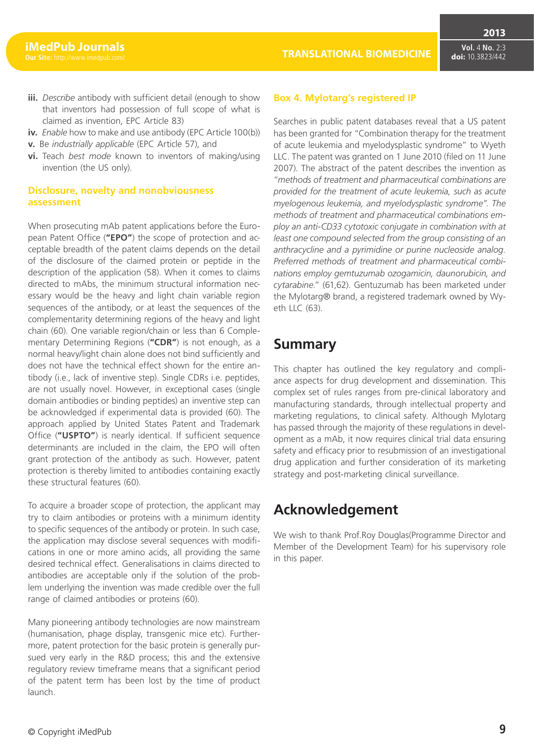- **iii.** *Describe* antibody with sufficient detail (enough to show that inventors had possession of full scope of what is claimed as invention, EPC Article 83)
- **iv.** *Enable* how to make and use antibody (EPC Article 100(b))
- **v.** Be *industrially applicable* (EPC Article 57), and
- **vi.** Teach *best mode* known to inventors of making/using invention (the US only).

#### **Disclosure, novelty and nonobviousness assessment**

When prosecuting mAb patent applications before the European Patent Office (**"EPO"**) the scope of protection and acceptable breadth of the patent claims depends on the detail of the disclosure of the claimed protein or peptide in the description of the application (58). When it comes to claims directed to mAbs, the minimum structural information necessary would be the heavy and light chain variable region sequences of the antibody, or at least the sequences of the complementarity determining regions of the heavy and light chain (60). One variable region/chain or less than 6 Complementary Determining Regions (**"CDR"**) is not enough, as a normal heavy/light chain alone does not bind sufficiently and does not have the technical effect shown for the entire antibody (i.e., lack of inventive step). Single CDRs i.e. peptides, are not usually novel. However, in exceptional cases (single domain antibodies or binding peptides) an inventive step can be acknowledged if experimental data is provided (60). The approach applied by United States Patent and Trademark Office (**"USPTO"**) is nearly identical. If sufficient sequence determinants are included in the claim, the EPO will often grant protection of the antibody as such. However, patent protection is thereby limited to antibodies containing exactly these structural features (60).

To acquire a broader scope of protection, the applicant may try to claim antibodies or proteins with a minimum identity to specific sequences of the antibody or protein. In such case, the application may disclose several sequences with modifications in one or more amino acids, all providing the same desired technical effect. Generalisations in claims directed to antibodies are acceptable only if the solution of the problem underlying the invention was made credible over the full range of claimed antibodies or proteins (60).

Many pioneering antibody technologies are now mainstream (humanisation, phage display, transgenic mice etc). Furthermore, patent protection for the basic protein is generally pursued very early in the R&D process; this and the extensive regulatory review timeframe means that a significant period of the patent term has been lost by the time of product launch.

# **Box 4. Mylotarg's registered IP**

## Searches in public patent databases reveal that a US patent has been granted for "Combination therapy for the treatment of acute leukemia and myelodysplastic syndrome" to Wyeth LLC. The patent was granted on 1 June 2010 (filed on 11 June 2007). The abstract of the patent describes the invention as "*methods of treatment and pharmaceutical combinations are provided for the treatment of acute leukemia, such as acute myelogenous leukemia, and myelodysplastic syndrome". The methods of treatment and pharmaceutical combinations employ an anti-CD33 cytotoxic conjugate in combination with at least one compound selected from the group consisting of an anthracycline and a pyrimidine or purine nucleoside analog. Preferred methods of treatment and pharmaceutical combi-*

*nations employ gemtuzumab ozogamicin, daunorubicin, and cytarabine*." (61,62). Gentuzumab has been marketed under the Mylotarg® brand, a registered trademark owned by Wyeth LLC (63).

# **Summary**

This chapter has outlined the key regulatory and compliance aspects for drug development and dissemination. This complex set of rules ranges from pre-clinical laboratory and manufacturing standards, through intellectual property and marketing regulations, to clinical safety. Although Mylotarg has passed through the majority of these regulations in development as a mAb, it now requires clinical trial data ensuring safety and efficacy prior to resubmission of an investigational drug application and further consideration of its marketing strategy and post-marketing clinical surveillance.

# **Acknowledgement**

We wish to thank Prof.Roy Douglas(Programme Director and Member of the Development Team) for his supervisory role in this paper.

#### **TRANSLATIONAL BIOMEDICINE**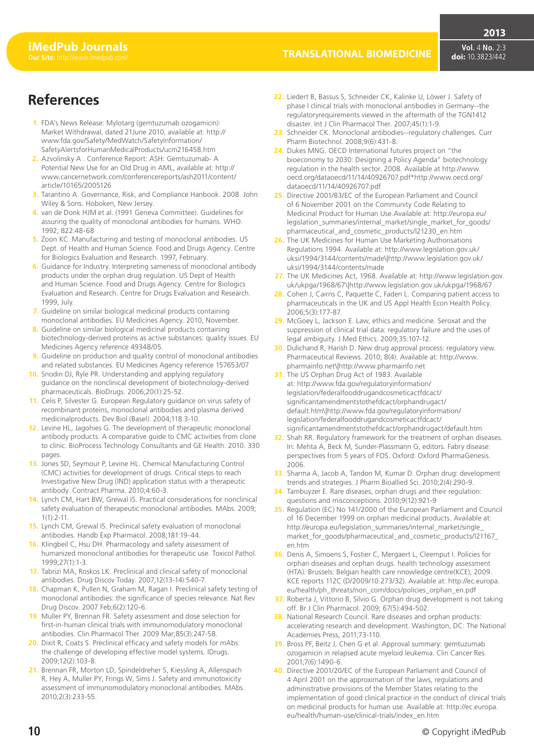# **References**

- **1.** FDA's News Release: Mylotarg (gemtuzumab ozogamicin): Market Withdrawal, dated 21June 2010, available at: http:// www.fda.[gov/Safety/MedWatch/SafetyInformation/](http://www.fda.gov/Safety/MedWatch/SafetyInformation/SafetyAlertsforHumanMedicalProducts/ucm216458.htm) [SafetyAlertsforHumanMedicalProducts/ucm216458.htm](http://www.fda.gov/Safety/MedWatch/SafetyInformation/SafetyAlertsforHumanMedicalProducts/ucm216458.htm)
- **2.** [Azvolinsky A](http://www.fda.gov/Safety/MedWatch/SafetyInformation/SafetyAlertsforHumanMedicalProducts/ucm216458.htm) . Conference Report: ASH: Gemtuzumab- A Potential New Use for an Old Drug in AML, available at: http:// www.can[cernetwork.com/conferencereports/ash2011/content/](http://www.cancernetwork.com/conferencereports/ash2011/content/article/10165/2005126) [article/10165/2005126](http://www.cancernetwork.com/conferencereports/ash2011/content/article/10165/2005126)
- **3.** [Tarantino A](http://www.cancernetwork.com/conferencereports/ash2011/content/article/10165/2005126). Governance, Risk, and Compliance Hanbook. 2008. John Wiley & Sons. Hoboken, New Jersey.
- **4.** van de Donk HJM et al. (1991 Geneva Committee). Guidelines for assuring the quality of monoclonal antibodies for humans. WHO. 1992; 822:48-68
- **5.** Zoon KC. Manufacturing and testing of monoclonal antibodies. US Dept. of Health and Human Science. Food and Drugs Agency. Centre for Biologics Evaluation and Research. 1997, February.
- **6.** Guidance for Industry. Interpreting sameness of monoclonal antibody products under the orphan drug regulation. US Dept of Health and Human Science. Food and Drugs Agency. Centre for Biologics Evaluation and Research. Centre for Drugs Evaluation and Research. 1999, July.
- **7.** Guideline on similar biological medicinal products containing monoclonal antibodies. EU Medicines Agency. 2010, November.
- **8.** Guideline on similar biological medicinal products containing biotechnology-derived proteins as active substances: quality issues. EU Medicines Agency reference 49348/05.
- **9.** Guideline on production and quality control of monoclonal antibodies and related substances. EU Medicines Agency reference 157653/07
- **10.** Snodin DJ, Ryle PR. Understanding and applying regulatory guidance on the nonclinical development of biotechnology-derived pharmaceuticals. BioDrugs. 2006;20(1):25-52.
- **11.** Celis P, Silvester G. European Regulatory guidance on virus safety of recombinant proteins, monoclonal antibodies and plasma derived medicinalproducts. Dev Biol (Basel). 2004;118:3-10.
- **12.** Levine HL, Jagohies G. The development of therapeutic monoclonal antibody products. A comparative guide to CMC activities from clone to clinic. BioProcess Technology Consultants and GE Health. 2010. 330 pages.
- **13.** Jones SD, Seymour P, Levine HL. Chemical Manufacturing Control (CMC) activities for development of drugs. Critical steps to reach Investigative New Drug (IND) application status with a therapeutic antibody. Contract Pharma. 2010;4:60-3.
- **14.** Lynch CM, Hart BW, Grewal IS. Practical considerations for nonclinical safety evaluation of therapeutic monoclonal antibodies. MAbs. 2009; 1(1):2-11.
- **15.** Lynch CM, Grewal IS. Preclinical safety evaluation of monoclonal antibodies. Handb Exp Pharmacol. 2008;181:19-44.
- **16.** Klingbeil C, Hsu DH. Pharmacology and safety assessment of humanized monoclonal antibodies for therapeutic use. Toxicol Pathol.  $1999.77(1):1-3$
- **17.** Tabrizi MA, Roskos LK. Preclinical and clinical safety of monoclonal antibodies. Drug Discov Today. 2007;12(13-14):540-7.
- **18.** Chapman K, Pullen N, Graham M, Ragan I. Preclinical safety testing of monoclonal antibodies: the significance of species relevance. Nat Rev Drug Discov. 2007 Feb;6(2):120-6.
- **19.** Muller PY, Brennan FR. Safety assessment and dose selection for first-in-human clinical trials with immunomodulatory monoclonal antibodies. Clin Pharmacol Ther. 2009 Mar;85(3):247-58.
- **20.** Dixit R, Coats S. Preclinical efficacy and safety models for mAbs: the challenge of developing effective model systems. IDrugs. 2009;12(2):103-8.
- **21.** Brennan FR, Morton LD, Spindeldreher S, Kiessling A, Allenspach R, Hey A, Muller PY, Frings W, Sims J. Safety and immunotoxicity assessment of immunomodulatory monoclonal antibodies. MAbs. 2010;2(3):233-55.
- **22.** Liedert B, Bassus S, Schneider CK, Kalinke U, Löwer J. Safety of phase I clinical trials with monoclonal antibodies in Germany--the regulatoryrequirements viewed in the aftermath of the TGN1412 disaster. Int J Clin Pharmacol Ther. 2007;45(1):1-9.
- **23.** Schneider CK. Monoclonal antibodies--regulatory challenges. Curr Pharm Biotechnol. 2008;9(6):431-8.
- **24.** Dukes MNG. OECD International futures project on "the bioeconomy to 2030: Designing a Policy Agenda" biotechnology regulation in the health sector. 2008. Available at http://www. oecd[.org/dataoecd/11/14/40926707.pdf\\*http://www.oecd](http://www.oecd.org/dataoecd/11/14/40926707.pdf*)[.org/](http://www.oecd.org/dataoecd/11/14/40926707.pdf) [dataoecd/11/14/40926707.pdf](http://www.oecd.org/dataoecd/11/14/40926707.pdf)
- **25.** [Directive](http://www.oecd.org/dataoecd/11/14/40926707.pdf) 2001/83/EC of the European Parliament and Council of 6 November 2001 on the Community Code Relating to Medicinal Product for Human Use.Available at: http://europa.[eu/](http://europa.eu/legislation_summaries/internal_market/single_market_for_goods/pharmaceutical_and_cosmetic_products/l21230_en.htm) [legislation\\_summaries/internal\\_market/single\\_market\\_for\\_goods/](http://europa.eu/legislation_summaries/internal_market/single_market_for_goods/pharmaceutical_and_cosmetic_products/l21230_en.htm) [pharmaceutical\\_and\\_cosmetic\\_products/l21230\\_en.htm](http://europa.eu/legislation_summaries/internal_market/single_market_for_goods/pharmaceutical_and_cosmetic_products/l21230_en.htm)
- **26.** [The UK Me](http://europa.eu/legislation_summaries/internal_market/single_market_for_goods/pharmaceutical_and_cosmetic_products/l21230_en.htm)dicines for Human Use Marketing Authorisations Regulations 1994. Available at: http://www.legislation.gov.uk/ uksi/1994/3144/contents/made\|http://www.legislation.gov.uk/ uksi/1994/3144/contents/made
- **27.** The UK Medicines Act, 1968. Available at: http://www.legislation.gov. uk/ukpga/1968/67\|http://www.legislation.gov.uk/ukpga/1968/67
- **28.** Cohen J, Cairns C, Paquette C, Faden L. Comparing patient access to pharmaceuticals in the UK and US Appl Health Econ Health Policy. 2006;5(3):177-87.
- **29.** McGoey L, Jackson E. Law, ethics and medicine. Seroxat and the suppression of clinical trial data: regulatory failure and the uses of legal ambiguity. J Med Ethics. 2009;35:107-12.
- **30.** Dulichand R, Harish D. New drug approval process: regulatory view. Pharmaceutical Reviews. 2010; 8(4). Available at: http://www. pharmainfo.net\|http://www.pharmainfo.net
- **31.** The US Orphan Drug Act of 1983. Available at: http://www.fda.gov/regulatoryinformation/ legislation/federalfooddrugandcosmeticactfdcact/ significantamendmentstothefdcact/orphandrugact/ default.htm\|http://www.fda.gov/regulatoryinformation/ legislation/federalfooddrugandcosmeticactfdcact/ significantamendmentstothefdcact/orphandrugact/default.htm
- **32.** Shah RR. Regulatory framework for the treatment of orphan diseases. In: Mehta A, Beck M, Sunder-Plassmann G, editors. Fabry disease: perspectives from 5 years of FOS. Oxford: Oxford PharmaGenesis. 2006.
- **33.** Sharma A, Jacob A, Tandon M, Kumar D. Orphan drug: development trends and strategies. J Pharm Bioallied Sci. 2010;2(4):290-9.
- **34.** Tambuyzer E. Rare diseases, orphan drugs and their regulation: questions and misconceptions. 2010;9(12):921-9
- **35.** Regulation (EC) No 141/2000 of the European Parliament and Council of 16 December 1999 on orphan medicinal products. Available at: http://europa.eu/legislation\_summaries/internal\_market/single\_ market\_for\_goods/pharmaceutical\_and\_cosmetic\_products/l21167\_ en.htm
- **36.** Denis A, Simoens S, Fostier C, Mergaert L, Cleemput I. Policies for orphan diseases and orphan drugs. health technology assessment (HTA). Brussels: Belgian health care nnowledge centre(KCE); 2009. KCE reports 112C (D/2009/10.273/32). Available at: http://ec.euro[pa.](http://ec.europa.eu/health/ph_threats/non_com/docs/policies_orphan_en.pdf) [eu/health/ph\\_threats/non\\_com/docs/policies\\_orphan\\_en.pdf](http://ec.europa.eu/health/ph_threats/non_com/docs/policies_orphan_en.pdf)
- **37.** [Roberta J,](http://ec.europa.eu/health/ph_threats/non_com/docs/policies_orphan_en.pdf) Vittorio B, Silvio G. Orphan drug development is not taking off. Br J Clin Pharmacol. 2009; 67(5):494-502.
- **38.** National Research Council. Rare diseases and orphan products: accelerating research and development. Washington, DC: The National Academies Press, 2011;73-110.
- **39.** Bross PF, Beitz J, Chen G et al. Approval summary: gemtuzumab ozogamicin in relapsed acute myeloid leukemia. Clin Cancer Res. 2001;7(6):1490-6.
- **40.** Directive 2001/20/EC of the European Parliament and Council of 4 April 2001 on the approximation of the laws, regulations and administrative provisions of the Member States relating to the implementation of good clinical practice in the conduct of clinical trials on medicinal products for human use. Available at: http://ec.euro[pa.](http://ec.europa.eu/health/human-use/clinical-trials/index_en.htm) [eu/health/human-use/clinical-trials/index\\_en.htm](http://ec.europa.eu/health/human-use/clinical-trials/index_en.htm)